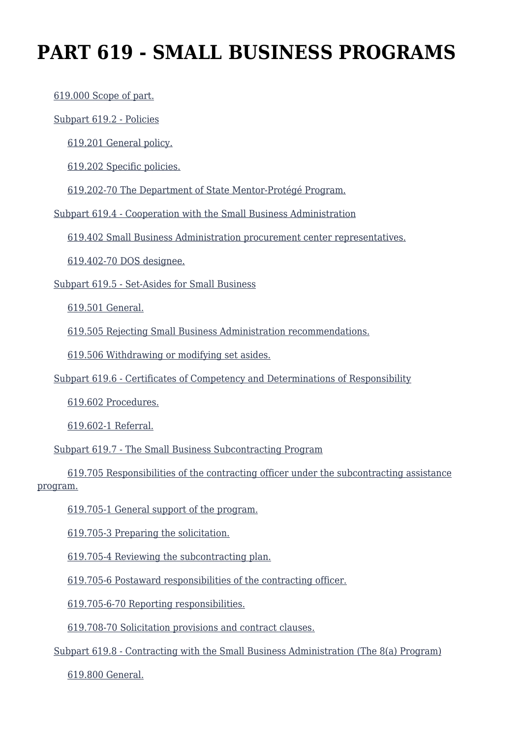# **PART 619 - SMALL BUSINESS PROGRAMS**

[619.000 Scope of part.](https://origin-www.acquisition.gov/%5Brp:link:dosar-part-619%5D#Section_619_000_T48_4043218011)

[Subpart 619.2 - Policies](https://origin-www.acquisition.gov/%5Brp:link:dosar-part-619%5D#Subpart_619_2_T48_40432181)

[619.201 General policy.](https://origin-www.acquisition.gov/%5Brp:link:dosar-part-619%5D#Section_619_201_T48_4043218111)

[619.202 Specific policies.](https://origin-www.acquisition.gov/%5Brp:link:dosar-part-619%5D#Section_619_202_T48_4043218112)

[619.202-70 The Department of State Mentor-Protégé Program.](https://origin-www.acquisition.gov/%5Brp:link:dosar-part-619%5D#Section_619_202_70_T48_4043218113)

[Subpart 619.4 - Cooperation with the Small Business Administration](https://origin-www.acquisition.gov/%5Brp:link:dosar-part-619%5D#Subpart_619_4_T48_40432182)

[619.402 Small Business Administration procurement center representatives.](https://origin-www.acquisition.gov/%5Brp:link:dosar-part-619%5D#Section_619_402_T48_4043218211)

[619.402-70 DOS designee.](https://origin-www.acquisition.gov/%5Brp:link:dosar-part-619%5D#Section_619_402_70_T48_4043218212)

[Subpart 619.5 - Set-Asides for Small Business](https://origin-www.acquisition.gov/%5Brp:link:dosar-part-619%5D#Subpart_619_5_T48_40432183)

[619.501 General.](https://origin-www.acquisition.gov/%5Brp:link:dosar-part-619%5D#Section_619_501_T48_4043218311)

[619.505 Rejecting Small Business Administration recommendations.](https://origin-www.acquisition.gov/%5Brp:link:dosar-part-619%5D#Section_619_505_T48_4043218312)

[619.506 Withdrawing or modifying set asides.](https://origin-www.acquisition.gov/%5Brp:link:dosar-part-619%5D#Section_619_506_T48_4043218313)

[Subpart 619.6 - Certificates of Competency and Determinations of Responsibility](https://origin-www.acquisition.gov/%5Brp:link:dosar-part-619%5D#Subpart_619_6_T48_40432184)

[619.602 Procedures.](https://origin-www.acquisition.gov/%5Brp:link:dosar-part-619%5D#Section_619_602_T48_4043218411)

[619.602-1 Referral.](https://origin-www.acquisition.gov/%5Brp:link:dosar-part-619%5D#Section_619_602_1_T48_4043218412)

[Subpart 619.7 - The Small Business Subcontracting Program](https://origin-www.acquisition.gov/%5Brp:link:dosar-part-619%5D#Subpart_619_7_T48_40432185)

 [619.705 Responsibilities of the contracting officer under the subcontracting assistance](https://origin-www.acquisition.gov/%5Brp:link:dosar-part-619%5D#Section_619_705_T48_4043218511) [program.](https://origin-www.acquisition.gov/%5Brp:link:dosar-part-619%5D#Section_619_705_T48_4043218511)

[619.705-1 General support of the program.](https://origin-www.acquisition.gov/%5Brp:link:dosar-part-619%5D#Section_619_705_1_T48_4043218512)

[619.705-3 Preparing the solicitation.](https://origin-www.acquisition.gov/%5Brp:link:dosar-part-619%5D#Section_619_705_3_T48_4043218513)

[619.705-4 Reviewing the subcontracting plan.](https://origin-www.acquisition.gov/%5Brp:link:dosar-part-619%5D#Section_619_705_4_T48_4043218514)

[619.705-6 Postaward responsibilities of the contracting officer.](https://origin-www.acquisition.gov/%5Brp:link:dosar-part-619%5D#Section_619_705_6_T48_4043218515)

[619.705-6-70 Reporting responsibilities.](https://origin-www.acquisition.gov/%5Brp:link:dosar-part-619%5D#Section_619_705_6_70_T48_4043218516)

[619.708-70 Solicitation provisions and contract clauses.](https://origin-www.acquisition.gov/%5Brp:link:dosar-part-619%5D#Section_619_708_70_T48_4043218517)

[Subpart 619.8 - Contracting with the Small Business Administration \(The 8\(a\) Program\)](https://origin-www.acquisition.gov/%5Brp:link:dosar-part-619%5D#Subpart_619_8_T48_40432186)

[619.800 General.](https://origin-www.acquisition.gov/%5Brp:link:dosar-part-619%5D#Section_619_800_T48_4043218611)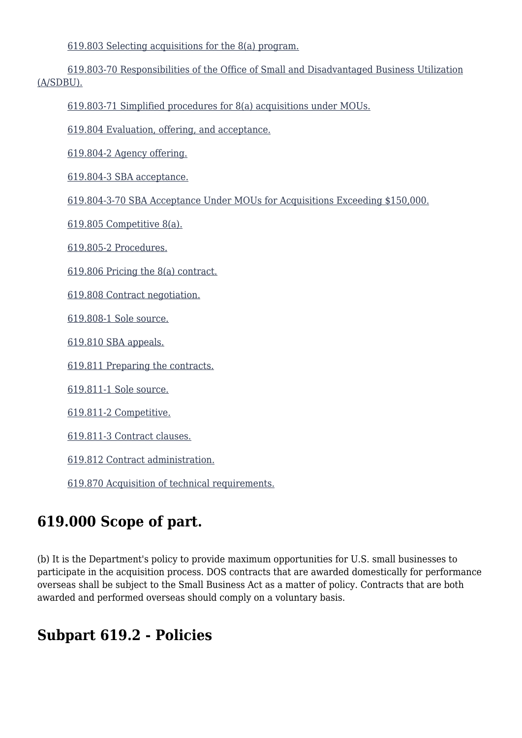[619.803 Selecting acquisitions for the 8\(a\) program.](https://origin-www.acquisition.gov/%5Brp:link:dosar-part-619%5D#Section_619_803_T48_4043218612)

 [619.803-70 Responsibilities of the Office of Small and Disadvantaged Business Utilization](https://origin-www.acquisition.gov/%5Brp:link:dosar-part-619%5D#Section_619_803_70_T48_4043218613) [\(A/SDBU\).](https://origin-www.acquisition.gov/%5Brp:link:dosar-part-619%5D#Section_619_803_70_T48_4043218613)

[619.803-71 Simplified procedures for 8\(a\) acquisitions under MOUs.](https://origin-www.acquisition.gov/%5Brp:link:dosar-part-619%5D#Section_619_803_71_T48_4043218614)

[619.804 Evaluation, offering, and acceptance.](https://origin-www.acquisition.gov/%5Brp:link:dosar-part-619%5D#Section_619_804_T48_4043218615)

[619.804-2 Agency offering.](https://origin-www.acquisition.gov/%5Brp:link:dosar-part-619%5D#Section_619_804_2_T48_4043218616)

[619.804-3 SBA acceptance.](https://origin-www.acquisition.gov/%5Brp:link:dosar-part-619%5D#Section_619_804_3_T48_4043218617)

[619.804-3-70 SBA Acceptance Under MOUs for Acquisitions Exceeding \\$150,000.](https://origin-www.acquisition.gov/%5Brp:link:dosar-part-619%5D#Section_619_804_3_70_T48_4043218618)

[619.805 Competitive 8\(a\).](https://origin-www.acquisition.gov/%5Brp:link:dosar-part-619%5D#Section_619_805_T48_4043218619)

[619.805-2 Procedures.](https://origin-www.acquisition.gov/%5Brp:link:dosar-part-619%5D#Section_619_805_2_T48_40432186110)

[619.806 Pricing the 8\(a\) contract.](https://origin-www.acquisition.gov/%5Brp:link:dosar-part-619%5D#Section_619_806_T48_40432186111)

[619.808 Contract negotiation.](https://origin-www.acquisition.gov/%5Brp:link:dosar-part-619%5D#Section_619_808_T48_40432186112)

[619.808-1 Sole source.](https://origin-www.acquisition.gov/%5Brp:link:dosar-part-619%5D#Section_619_808_1_T48_40432186113)

[619.810 SBA appeals.](https://origin-www.acquisition.gov/%5Brp:link:dosar-part-619%5D#Section_619_810_T48_40432186114)

[619.811 Preparing the contracts.](https://origin-www.acquisition.gov/%5Brp:link:dosar-part-619%5D#Section_619_811_T48_40432186115)

[619.811-1 Sole source.](https://origin-www.acquisition.gov/%5Brp:link:dosar-part-619%5D#Section_619_811_1_T48_40432186116)

[619.811-2 Competitive.](https://origin-www.acquisition.gov/%5Brp:link:dosar-part-619%5D#Section_619_811_2_T48_40432186117)

[619.811-3 Contract clauses.](https://origin-www.acquisition.gov/%5Brp:link:dosar-part-619%5D#Section_619_811_3_T48_40432186118)

[619.812 Contract administration.](https://origin-www.acquisition.gov/%5Brp:link:dosar-part-619%5D#Section_619_812_T48_40432186119)

[619.870 Acquisition of technical requirements.](https://origin-www.acquisition.gov/%5Brp:link:dosar-part-619%5D#Section_619_870_T48_40432186120)

### **619.000 Scope of part.**

(b) It is the Department's policy to provide maximum opportunities for U.S. small businesses to participate in the acquisition process. DOS contracts that are awarded domestically for performance overseas shall be subject to the Small Business Act as a matter of policy. Contracts that are both awarded and performed overseas should comply on a voluntary basis.

### **Subpart 619.2 - Policies**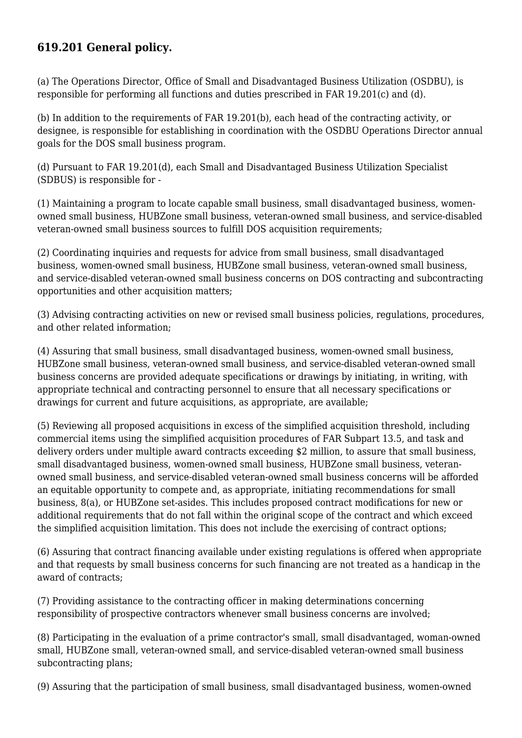### **619.201 General policy.**

(a) The Operations Director, Office of Small and Disadvantaged Business Utilization (OSDBU), is responsible for performing all functions and duties prescribed in FAR 19.201(c) and (d).

(b) In addition to the requirements of FAR 19.201(b), each head of the contracting activity, or designee, is responsible for establishing in coordination with the OSDBU Operations Director annual goals for the DOS small business program.

(d) Pursuant to FAR 19.201(d), each Small and Disadvantaged Business Utilization Specialist (SDBUS) is responsible for -

(1) Maintaining a program to locate capable small business, small disadvantaged business, womenowned small business, HUBZone small business, veteran-owned small business, and service-disabled veteran-owned small business sources to fulfill DOS acquisition requirements;

(2) Coordinating inquiries and requests for advice from small business, small disadvantaged business, women-owned small business, HUBZone small business, veteran-owned small business, and service-disabled veteran-owned small business concerns on DOS contracting and subcontracting opportunities and other acquisition matters;

(3) Advising contracting activities on new or revised small business policies, regulations, procedures, and other related information;

(4) Assuring that small business, small disadvantaged business, women-owned small business, HUBZone small business, veteran-owned small business, and service-disabled veteran-owned small business concerns are provided adequate specifications or drawings by initiating, in writing, with appropriate technical and contracting personnel to ensure that all necessary specifications or drawings for current and future acquisitions, as appropriate, are available;

(5) Reviewing all proposed acquisitions in excess of the simplified acquisition threshold, including commercial items using the simplified acquisition procedures of FAR Subpart 13.5, and task and delivery orders under multiple award contracts exceeding \$2 million, to assure that small business, small disadvantaged business, women-owned small business, HUBZone small business, veteranowned small business, and service-disabled veteran-owned small business concerns will be afforded an equitable opportunity to compete and, as appropriate, initiating recommendations for small business, 8(a), or HUBZone set-asides. This includes proposed contract modifications for new or additional requirements that do not fall within the original scope of the contract and which exceed the simplified acquisition limitation. This does not include the exercising of contract options;

(6) Assuring that contract financing available under existing regulations is offered when appropriate and that requests by small business concerns for such financing are not treated as a handicap in the award of contracts;

(7) Providing assistance to the contracting officer in making determinations concerning responsibility of prospective contractors whenever small business concerns are involved;

(8) Participating in the evaluation of a prime contractor's small, small disadvantaged, woman-owned small, HUBZone small, veteran-owned small, and service-disabled veteran-owned small business subcontracting plans;

(9) Assuring that the participation of small business, small disadvantaged business, women-owned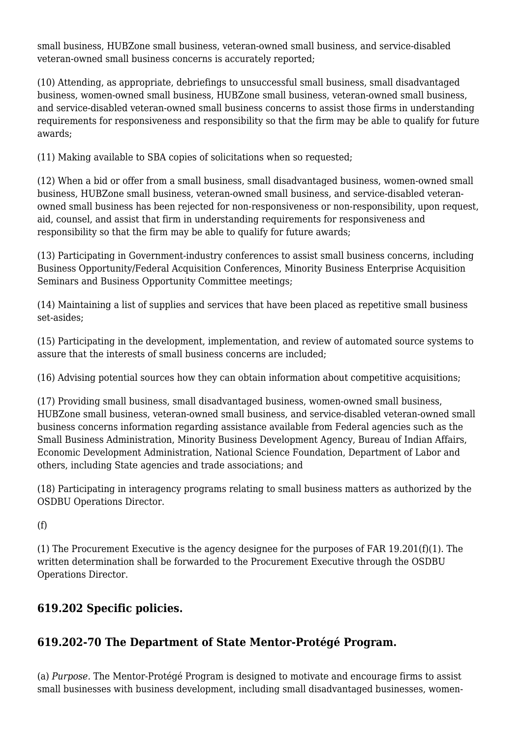small business, HUBZone small business, veteran-owned small business, and service-disabled veteran-owned small business concerns is accurately reported;

(10) Attending, as appropriate, debriefings to unsuccessful small business, small disadvantaged business, women-owned small business, HUBZone small business, veteran-owned small business, and service-disabled veteran-owned small business concerns to assist those firms in understanding requirements for responsiveness and responsibility so that the firm may be able to qualify for future awards;

(11) Making available to SBA copies of solicitations when so requested;

(12) When a bid or offer from a small business, small disadvantaged business, women-owned small business, HUBZone small business, veteran-owned small business, and service-disabled veteranowned small business has been rejected for non-responsiveness or non-responsibility, upon request, aid, counsel, and assist that firm in understanding requirements for responsiveness and responsibility so that the firm may be able to qualify for future awards;

(13) Participating in Government-industry conferences to assist small business concerns, including Business Opportunity/Federal Acquisition Conferences, Minority Business Enterprise Acquisition Seminars and Business Opportunity Committee meetings;

(14) Maintaining a list of supplies and services that have been placed as repetitive small business set-asides;

(15) Participating in the development, implementation, and review of automated source systems to assure that the interests of small business concerns are included;

(16) Advising potential sources how they can obtain information about competitive acquisitions;

(17) Providing small business, small disadvantaged business, women-owned small business, HUBZone small business, veteran-owned small business, and service-disabled veteran-owned small business concerns information regarding assistance available from Federal agencies such as the Small Business Administration, Minority Business Development Agency, Bureau of Indian Affairs, Economic Development Administration, National Science Foundation, Department of Labor and others, including State agencies and trade associations; and

(18) Participating in interagency programs relating to small business matters as authorized by the OSDBU Operations Director.

 $(f)$ 

(1) The Procurement Executive is the agency designee for the purposes of FAR 19.201(f)(1). The written determination shall be forwarded to the Procurement Executive through the OSDBU Operations Director.

### **619.202 Specific policies.**

### **619.202-70 The Department of State Mentor-Protégé Program.**

(a) *Purpose.* The Mentor-Protégé Program is designed to motivate and encourage firms to assist small businesses with business development, including small disadvantaged businesses, women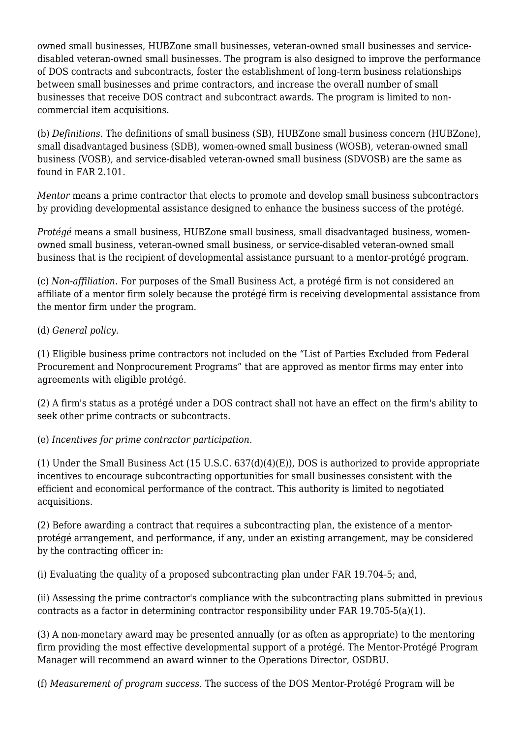owned small businesses, HUBZone small businesses, veteran-owned small businesses and servicedisabled veteran-owned small businesses. The program is also designed to improve the performance of DOS contracts and subcontracts, foster the establishment of long-term business relationships between small businesses and prime contractors, and increase the overall number of small businesses that receive DOS contract and subcontract awards. The program is limited to noncommercial item acquisitions.

(b) *Definitions.* The definitions of small business (SB), HUBZone small business concern (HUBZone), small disadvantaged business (SDB), women-owned small business (WOSB), veteran-owned small business (VOSB), and service-disabled veteran-owned small business (SDVOSB) are the same as found in FAR 2.101.

*Mentor* means a prime contractor that elects to promote and develop small business subcontractors by providing developmental assistance designed to enhance the business success of the protégé.

*Protégé* means a small business, HUBZone small business, small disadvantaged business, womenowned small business, veteran-owned small business, or service-disabled veteran-owned small business that is the recipient of developmental assistance pursuant to a mentor-protégé program.

(c) *Non-affiliation.* For purposes of the Small Business Act, a protégé firm is not considered an affiliate of a mentor firm solely because the protégé firm is receiving developmental assistance from the mentor firm under the program.

(d) *General policy.*

(1) Eligible business prime contractors not included on the "List of Parties Excluded from Federal Procurement and Nonprocurement Programs" that are approved as mentor firms may enter into agreements with eligible protégé.

(2) A firm's status as a protégé under a DOS contract shall not have an effect on the firm's ability to seek other prime contracts or subcontracts.

(e) *Incentives for prime contractor participation.*

(1) Under the Small Business Act (15 U.S.C. 637(d)(4)(E)), DOS is authorized to provide appropriate incentives to encourage subcontracting opportunities for small businesses consistent with the efficient and economical performance of the contract. This authority is limited to negotiated acquisitions.

(2) Before awarding a contract that requires a subcontracting plan, the existence of a mentorprotégé arrangement, and performance, if any, under an existing arrangement, may be considered by the contracting officer in:

(i) Evaluating the quality of a proposed subcontracting plan under FAR 19.704-5; and,

(ii) Assessing the prime contractor's compliance with the subcontracting plans submitted in previous contracts as a factor in determining contractor responsibility under FAR 19.705-5(a)(1).

(3) A non-monetary award may be presented annually (or as often as appropriate) to the mentoring firm providing the most effective developmental support of a protégé. The Mentor-Protégé Program Manager will recommend an award winner to the Operations Director, OSDBU.

(f) *Measurement of program success.* The success of the DOS Mentor-Protégé Program will be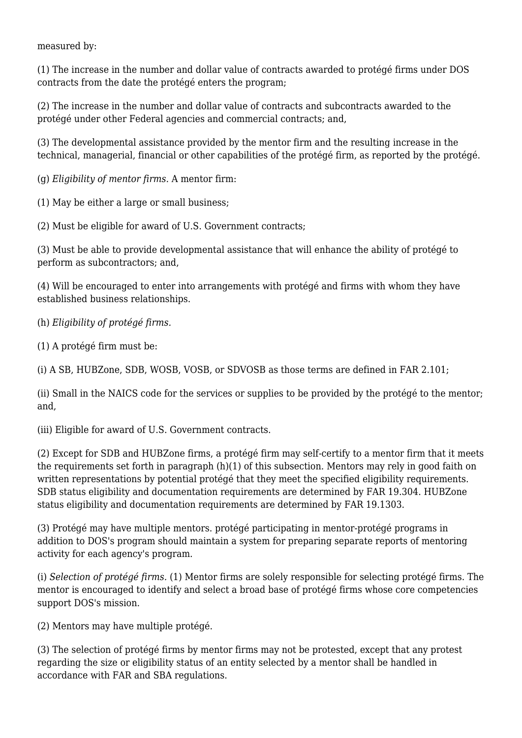measured by:

(1) The increase in the number and dollar value of contracts awarded to protégé firms under DOS contracts from the date the protégé enters the program;

(2) The increase in the number and dollar value of contracts and subcontracts awarded to the protégé under other Federal agencies and commercial contracts; and,

(3) The developmental assistance provided by the mentor firm and the resulting increase in the technical, managerial, financial or other capabilities of the protégé firm, as reported by the protégé.

(g) *Eligibility of mentor firms.* A mentor firm:

(1) May be either a large or small business;

(2) Must be eligible for award of U.S. Government contracts;

(3) Must be able to provide developmental assistance that will enhance the ability of protégé to perform as subcontractors; and,

(4) Will be encouraged to enter into arrangements with protégé and firms with whom they have established business relationships.

(h) *Eligibility of protégé firms.*

(1) A protégé firm must be:

(i) A SB, HUBZone, SDB, WOSB, VOSB, or SDVOSB as those terms are defined in FAR 2.101;

(ii) Small in the NAICS code for the services or supplies to be provided by the protégé to the mentor; and,

(iii) Eligible for award of U.S. Government contracts.

(2) Except for SDB and HUBZone firms, a protégé firm may self-certify to a mentor firm that it meets the requirements set forth in paragraph (h)(1) of this subsection. Mentors may rely in good faith on written representations by potential protégé that they meet the specified eligibility requirements. SDB status eligibility and documentation requirements are determined by FAR 19.304. HUBZone status eligibility and documentation requirements are determined by FAR 19.1303.

(3) Protégé may have multiple mentors. protégé participating in mentor-protégé programs in addition to DOS's program should maintain a system for preparing separate reports of mentoring activity for each agency's program.

(i) *Selection of protégé firms.* (1) Mentor firms are solely responsible for selecting protégé firms. The mentor is encouraged to identify and select a broad base of protégé firms whose core competencies support DOS's mission.

(2) Mentors may have multiple protégé.

(3) The selection of protégé firms by mentor firms may not be protested, except that any protest regarding the size or eligibility status of an entity selected by a mentor shall be handled in accordance with FAR and SBA regulations.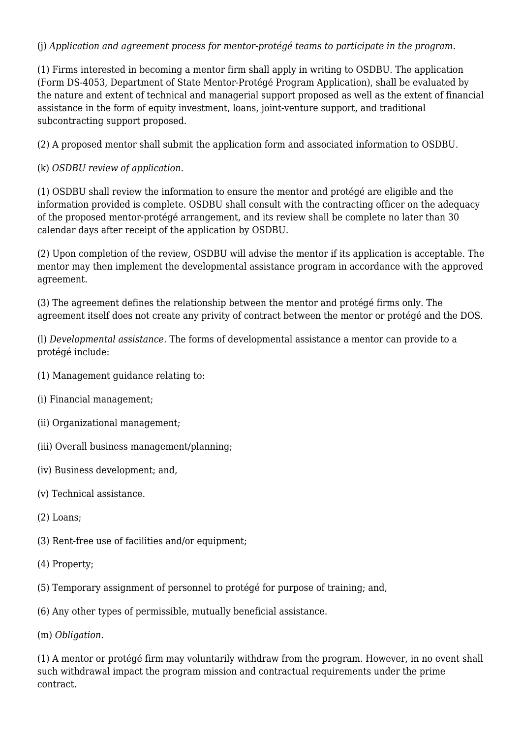#### (j) *Application and agreement process for mentor-protégé teams to participate in the program.*

(1) Firms interested in becoming a mentor firm shall apply in writing to OSDBU. The application (Form DS-4053, Department of State Mentor-Protégé Program Application), shall be evaluated by the nature and extent of technical and managerial support proposed as well as the extent of financial assistance in the form of equity investment, loans, joint-venture support, and traditional subcontracting support proposed.

(2) A proposed mentor shall submit the application form and associated information to OSDBU.

(k) *OSDBU review of application.*

(1) OSDBU shall review the information to ensure the mentor and protégé are eligible and the information provided is complete. OSDBU shall consult with the contracting officer on the adequacy of the proposed mentor-protégé arrangement, and its review shall be complete no later than 30 calendar days after receipt of the application by OSDBU.

(2) Upon completion of the review, OSDBU will advise the mentor if its application is acceptable. The mentor may then implement the developmental assistance program in accordance with the approved agreement.

(3) The agreement defines the relationship between the mentor and protégé firms only. The agreement itself does not create any privity of contract between the mentor or protégé and the DOS.

(l) *Developmental assistance.* The forms of developmental assistance a mentor can provide to a protégé include:

- (1) Management guidance relating to:
- (i) Financial management;
- (ii) Organizational management;
- (iii) Overall business management/planning;
- (iv) Business development; and,
- (v) Technical assistance.
- (2) Loans;
- (3) Rent-free use of facilities and/or equipment;
- (4) Property;
- (5) Temporary assignment of personnel to protégé for purpose of training; and,
- (6) Any other types of permissible, mutually beneficial assistance.

(m) *Obligation.*

(1) A mentor or protégé firm may voluntarily withdraw from the program. However, in no event shall such withdrawal impact the program mission and contractual requirements under the prime contract.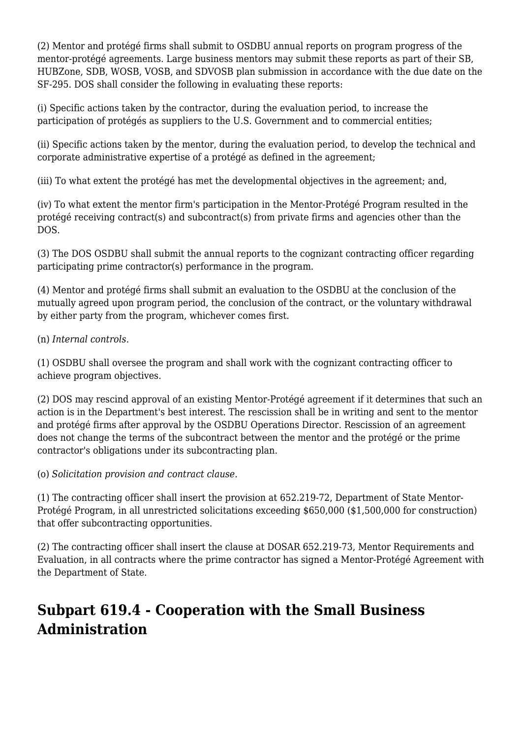(2) Mentor and protégé firms shall submit to OSDBU annual reports on program progress of the mentor-protégé agreements. Large business mentors may submit these reports as part of their SB, HUBZone, SDB, WOSB, VOSB, and SDVOSB plan submission in accordance with the due date on the SF-295. DOS shall consider the following in evaluating these reports:

(i) Specific actions taken by the contractor, during the evaluation period, to increase the participation of protégés as suppliers to the U.S. Government and to commercial entities;

(ii) Specific actions taken by the mentor, during the evaluation period, to develop the technical and corporate administrative expertise of a protégé as defined in the agreement;

(iii) To what extent the protégé has met the developmental objectives in the agreement; and,

(iv) To what extent the mentor firm's participation in the Mentor-Protégé Program resulted in the protégé receiving contract(s) and subcontract(s) from private firms and agencies other than the DOS.

(3) The DOS OSDBU shall submit the annual reports to the cognizant contracting officer regarding participating prime contractor(s) performance in the program.

(4) Mentor and protégé firms shall submit an evaluation to the OSDBU at the conclusion of the mutually agreed upon program period, the conclusion of the contract, or the voluntary withdrawal by either party from the program, whichever comes first.

(n) *Internal controls.*

(1) OSDBU shall oversee the program and shall work with the cognizant contracting officer to achieve program objectives.

(2) DOS may rescind approval of an existing Mentor-Protégé agreement if it determines that such an action is in the Department's best interest. The rescission shall be in writing and sent to the mentor and protégé firms after approval by the OSDBU Operations Director. Rescission of an agreement does not change the terms of the subcontract between the mentor and the protégé or the prime contractor's obligations under its subcontracting plan.

(o) *Solicitation provision and contract clause.*

(1) The contracting officer shall insert the provision at 652.219-72, Department of State Mentor-Protégé Program, in all unrestricted solicitations exceeding \$650,000 (\$1,500,000 for construction) that offer subcontracting opportunities.

(2) The contracting officer shall insert the clause at DOSAR 652.219-73, Mentor Requirements and Evaluation, in all contracts where the prime contractor has signed a Mentor-Protégé Agreement with the Department of State.

# **Subpart 619.4 - Cooperation with the Small Business Administration**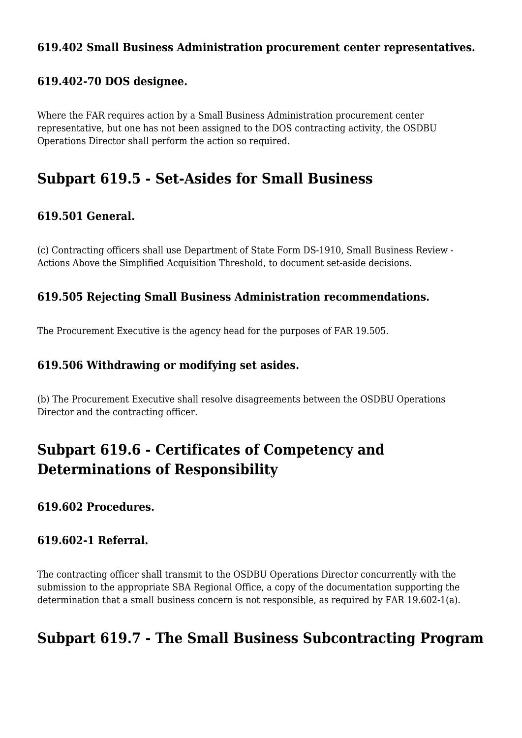### **619.402 Small Business Administration procurement center representatives.**

### **619.402-70 DOS designee.**

Where the FAR requires action by a Small Business Administration procurement center representative, but one has not been assigned to the DOS contracting activity, the OSDBU Operations Director shall perform the action so required.

### **Subpart 619.5 - Set-Asides for Small Business**

### **619.501 General.**

(c) Contracting officers shall use Department of State Form DS-1910, Small Business Review - Actions Above the Simplified Acquisition Threshold, to document set-aside decisions.

### **619.505 Rejecting Small Business Administration recommendations.**

The Procurement Executive is the agency head for the purposes of FAR 19.505.

### **619.506 Withdrawing or modifying set asides.**

(b) The Procurement Executive shall resolve disagreements between the OSDBU Operations Director and the contracting officer.

# **Subpart 619.6 - Certificates of Competency and Determinations of Responsibility**

### **619.602 Procedures.**

### **619.602-1 Referral.**

The contracting officer shall transmit to the OSDBU Operations Director concurrently with the submission to the appropriate SBA Regional Office, a copy of the documentation supporting the determination that a small business concern is not responsible, as required by FAR 19.602-1(a).

### **Subpart 619.7 - The Small Business Subcontracting Program**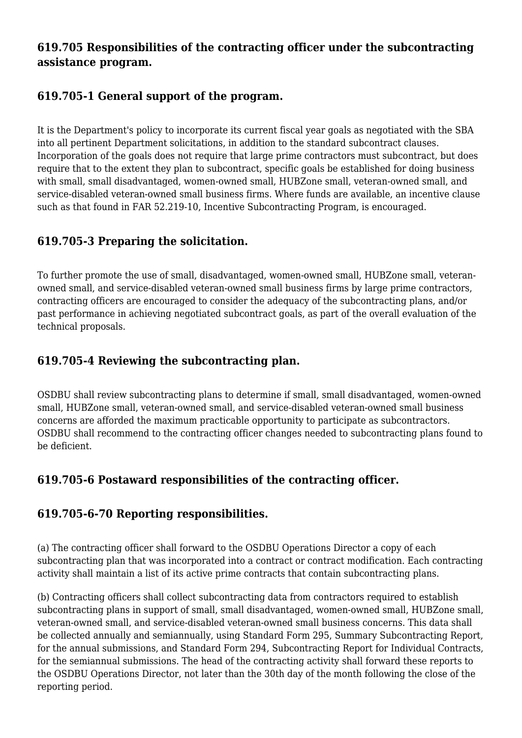### **619.705 Responsibilities of the contracting officer under the subcontracting assistance program.**

### **619.705-1 General support of the program.**

It is the Department's policy to incorporate its current fiscal year goals as negotiated with the SBA into all pertinent Department solicitations, in addition to the standard subcontract clauses. Incorporation of the goals does not require that large prime contractors must subcontract, but does require that to the extent they plan to subcontract, specific goals be established for doing business with small, small disadvantaged, women-owned small, HUBZone small, veteran-owned small, and service-disabled veteran-owned small business firms. Where funds are available, an incentive clause such as that found in FAR 52.219-10, Incentive Subcontracting Program, is encouraged.

### **619.705-3 Preparing the solicitation.**

To further promote the use of small, disadvantaged, women-owned small, HUBZone small, veteranowned small, and service-disabled veteran-owned small business firms by large prime contractors, contracting officers are encouraged to consider the adequacy of the subcontracting plans, and/or past performance in achieving negotiated subcontract goals, as part of the overall evaluation of the technical proposals.

### **619.705-4 Reviewing the subcontracting plan.**

OSDBU shall review subcontracting plans to determine if small, small disadvantaged, women-owned small, HUBZone small, veteran-owned small, and service-disabled veteran-owned small business concerns are afforded the maximum practicable opportunity to participate as subcontractors. OSDBU shall recommend to the contracting officer changes needed to subcontracting plans found to be deficient.

### **619.705-6 Postaward responsibilities of the contracting officer.**

### **619.705-6-70 Reporting responsibilities.**

(a) The contracting officer shall forward to the OSDBU Operations Director a copy of each subcontracting plan that was incorporated into a contract or contract modification. Each contracting activity shall maintain a list of its active prime contracts that contain subcontracting plans.

(b) Contracting officers shall collect subcontracting data from contractors required to establish subcontracting plans in support of small, small disadvantaged, women-owned small, HUBZone small, veteran-owned small, and service-disabled veteran-owned small business concerns. This data shall be collected annually and semiannually, using Standard Form 295, Summary Subcontracting Report, for the annual submissions, and Standard Form 294, Subcontracting Report for Individual Contracts, for the semiannual submissions. The head of the contracting activity shall forward these reports to the OSDBU Operations Director, not later than the 30th day of the month following the close of the reporting period.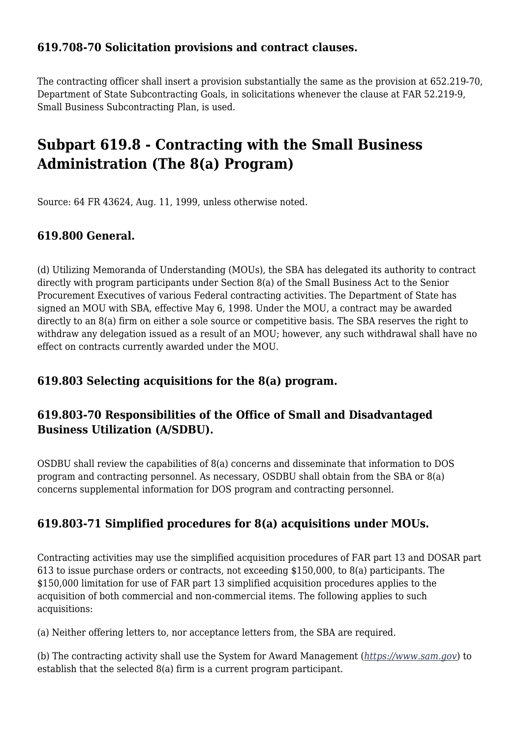### **619.708-70 Solicitation provisions and contract clauses.**

The contracting officer shall insert a provision substantially the same as the provision at 652.219-70, Department of State Subcontracting Goals, in solicitations whenever the clause at FAR 52.219-9, Small Business Subcontracting Plan, is used.

## **Subpart 619.8 - Contracting with the Small Business Administration (The 8(a) Program)**

Source: 64 FR 43624, Aug. 11, 1999, unless otherwise noted.

### **619.800 General.**

(d) Utilizing Memoranda of Understanding (MOUs), the SBA has delegated its authority to contract directly with program participants under Section 8(a) of the Small Business Act to the Senior Procurement Executives of various Federal contracting activities. The Department of State has signed an MOU with SBA, effective May 6, 1998. Under the MOU, a contract may be awarded directly to an 8(a) firm on either a sole source or competitive basis. The SBA reserves the right to withdraw any delegation issued as a result of an MOU; however, any such withdrawal shall have no effect on contracts currently awarded under the MOU.

### **619.803 Selecting acquisitions for the 8(a) program.**

### **619.803-70 Responsibilities of the Office of Small and Disadvantaged Business Utilization (A/SDBU).**

OSDBU shall review the capabilities of 8(a) concerns and disseminate that information to DOS program and contracting personnel. As necessary, OSDBU shall obtain from the SBA or 8(a) concerns supplemental information for DOS program and contracting personnel.

### **619.803-71 Simplified procedures for 8(a) acquisitions under MOUs.**

Contracting activities may use the simplified acquisition procedures of FAR part 13 and DOSAR part 613 to issue purchase orders or contracts, not exceeding \$150,000, to 8(a) participants. The \$150,000 limitation for use of FAR part 13 simplified acquisition procedures applies to the acquisition of both commercial and non-commercial items. The following applies to such acquisitions:

(a) Neither offering letters to, nor acceptance letters from, the SBA are required.

(b) The contracting activity shall use the System for Award Management (*<https://www.sam.gov>*) to establish that the selected 8(a) firm is a current program participant.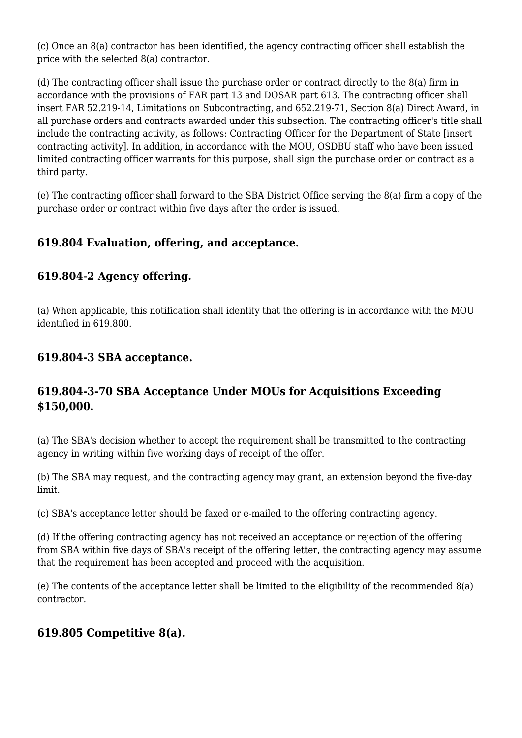(c) Once an 8(a) contractor has been identified, the agency contracting officer shall establish the price with the selected 8(a) contractor.

(d) The contracting officer shall issue the purchase order or contract directly to the 8(a) firm in accordance with the provisions of FAR part 13 and DOSAR part 613. The contracting officer shall insert FAR 52.219-14, Limitations on Subcontracting, and 652.219-71, Section 8(a) Direct Award, in all purchase orders and contracts awarded under this subsection. The contracting officer's title shall include the contracting activity, as follows: Contracting Officer for the Department of State [insert contracting activity]. In addition, in accordance with the MOU, OSDBU staff who have been issued limited contracting officer warrants for this purpose, shall sign the purchase order or contract as a third party.

(e) The contracting officer shall forward to the SBA District Office serving the 8(a) firm a copy of the purchase order or contract within five days after the order is issued.

### **619.804 Evaluation, offering, and acceptance.**

### **619.804-2 Agency offering.**

(a) When applicable, this notification shall identify that the offering is in accordance with the MOU identified in 619.800.

### **619.804-3 SBA acceptance.**

### **619.804-3-70 SBA Acceptance Under MOUs for Acquisitions Exceeding \$150,000.**

(a) The SBA's decision whether to accept the requirement shall be transmitted to the contracting agency in writing within five working days of receipt of the offer.

(b) The SBA may request, and the contracting agency may grant, an extension beyond the five-day limit.

(c) SBA's acceptance letter should be faxed or e-mailed to the offering contracting agency.

(d) If the offering contracting agency has not received an acceptance or rejection of the offering from SBA within five days of SBA's receipt of the offering letter, the contracting agency may assume that the requirement has been accepted and proceed with the acquisition.

(e) The contents of the acceptance letter shall be limited to the eligibility of the recommended 8(a) contractor.

### **619.805 Competitive 8(a).**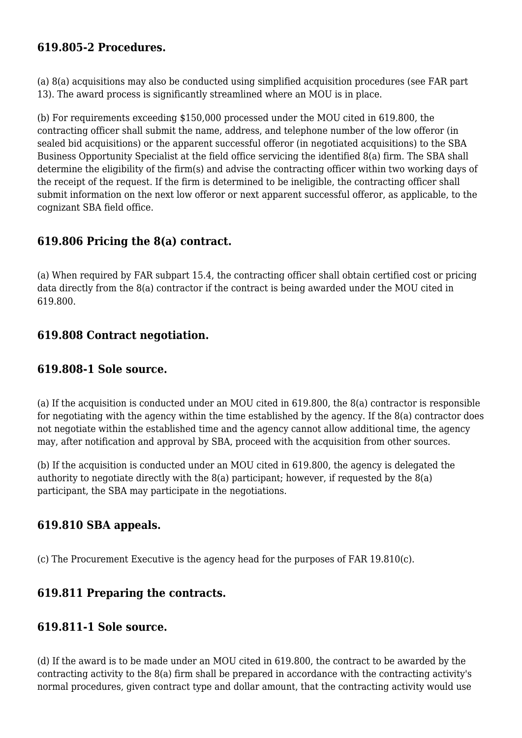### **619.805-2 Procedures.**

(a) 8(a) acquisitions may also be conducted using simplified acquisition procedures (see FAR part 13). The award process is significantly streamlined where an MOU is in place.

(b) For requirements exceeding \$150,000 processed under the MOU cited in 619.800, the contracting officer shall submit the name, address, and telephone number of the low offeror (in sealed bid acquisitions) or the apparent successful offeror (in negotiated acquisitions) to the SBA Business Opportunity Specialist at the field office servicing the identified 8(a) firm. The SBA shall determine the eligibility of the firm(s) and advise the contracting officer within two working days of the receipt of the request. If the firm is determined to be ineligible, the contracting officer shall submit information on the next low offeror or next apparent successful offeror, as applicable, to the cognizant SBA field office.

### **619.806 Pricing the 8(a) contract.**

(a) When required by FAR subpart 15.4, the contracting officer shall obtain certified cost or pricing data directly from the 8(a) contractor if the contract is being awarded under the MOU cited in 619.800.

### **619.808 Contract negotiation.**

### **619.808-1 Sole source.**

(a) If the acquisition is conducted under an MOU cited in 619.800, the 8(a) contractor is responsible for negotiating with the agency within the time established by the agency. If the 8(a) contractor does not negotiate within the established time and the agency cannot allow additional time, the agency may, after notification and approval by SBA, proceed with the acquisition from other sources.

(b) If the acquisition is conducted under an MOU cited in 619.800, the agency is delegated the authority to negotiate directly with the 8(a) participant; however, if requested by the 8(a) participant, the SBA may participate in the negotiations.

### **619.810 SBA appeals.**

(c) The Procurement Executive is the agency head for the purposes of FAR 19.810(c).

### **619.811 Preparing the contracts.**

### **619.811-1 Sole source.**

(d) If the award is to be made under an MOU cited in 619.800, the contract to be awarded by the contracting activity to the 8(a) firm shall be prepared in accordance with the contracting activity's normal procedures, given contract type and dollar amount, that the contracting activity would use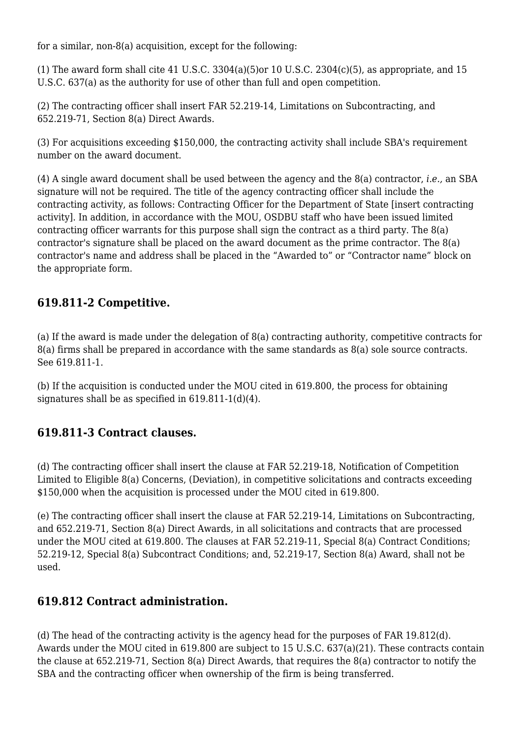for a similar, non-8(a) acquisition, except for the following:

(1) The award form shall cite 41 U.S.C. 3304(a)(5)or 10 U.S.C. 2304(c)(5), as appropriate, and 15 U.S.C. 637(a) as the authority for use of other than full and open competition.

(2) The contracting officer shall insert FAR 52.219-14, Limitations on Subcontracting, and 652.219-71, Section 8(a) Direct Awards.

(3) For acquisitions exceeding \$150,000, the contracting activity shall include SBA's requirement number on the award document.

(4) A single award document shall be used between the agency and the 8(a) contractor, *i.e.,* an SBA signature will not be required. The title of the agency contracting officer shall include the contracting activity, as follows: Contracting Officer for the Department of State [insert contracting activity]. In addition, in accordance with the MOU, OSDBU staff who have been issued limited contracting officer warrants for this purpose shall sign the contract as a third party. The 8(a) contractor's signature shall be placed on the award document as the prime contractor. The 8(a) contractor's name and address shall be placed in the "Awarded to" or "Contractor name" block on the appropriate form.

### **619.811-2 Competitive.**

(a) If the award is made under the delegation of 8(a) contracting authority, competitive contracts for 8(a) firms shall be prepared in accordance with the same standards as 8(a) sole source contracts. See 619.811-1.

(b) If the acquisition is conducted under the MOU cited in 619.800, the process for obtaining signatures shall be as specified in 619.811-1(d)(4).

### **619.811-3 Contract clauses.**

(d) The contracting officer shall insert the clause at FAR 52.219-18, Notification of Competition Limited to Eligible 8(a) Concerns, (Deviation), in competitive solicitations and contracts exceeding \$150,000 when the acquisition is processed under the MOU cited in 619.800.

(e) The contracting officer shall insert the clause at FAR 52.219-14, Limitations on Subcontracting, and 652.219-71, Section 8(a) Direct Awards, in all solicitations and contracts that are processed under the MOU cited at 619.800. The clauses at FAR 52.219-11, Special 8(a) Contract Conditions; 52.219-12, Special 8(a) Subcontract Conditions; and, 52.219-17, Section 8(a) Award, shall not be used.

### **619.812 Contract administration.**

(d) The head of the contracting activity is the agency head for the purposes of FAR 19.812(d). Awards under the MOU cited in 619.800 are subject to 15 U.S.C. 637(a)(21). These contracts contain the clause at 652.219-71, Section 8(a) Direct Awards, that requires the 8(a) contractor to notify the SBA and the contracting officer when ownership of the firm is being transferred.